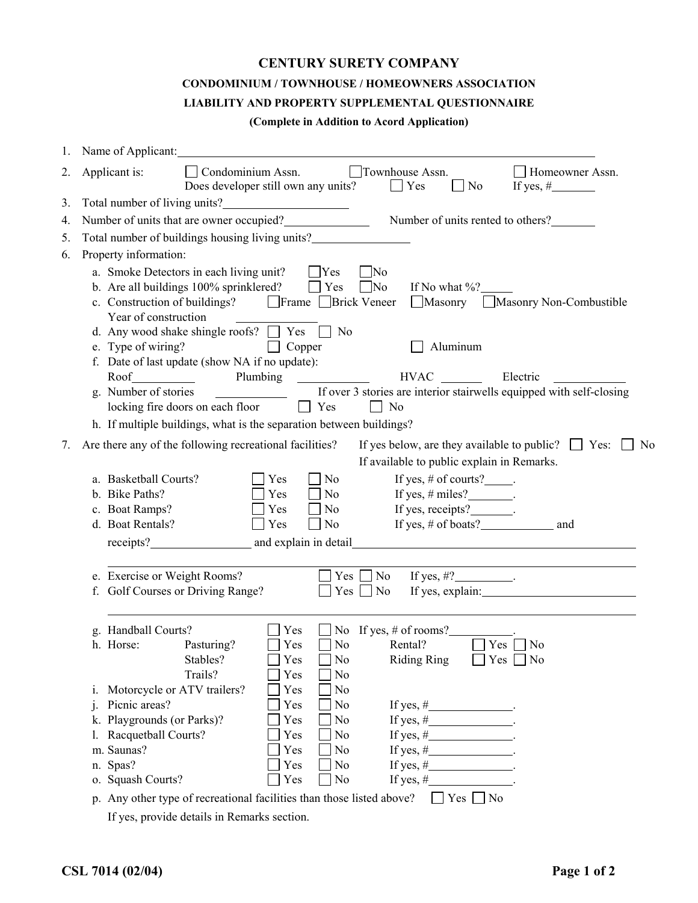## **CENTURY SURETY COMPANY**

## **CONDOMINIUM / TOWNHOUSE / HOMEOWNERS ASSOCIATION**

## **LIABILITY AND PROPERTY SUPPLEMENTAL QUESTIONNAIRE**

## **(Complete in Addition to Acord Application)**

| 1. | Name of Applicant:                                                                                                                                                                                                                                                                                                                                                                                     |  |  |  |  |  |  |
|----|--------------------------------------------------------------------------------------------------------------------------------------------------------------------------------------------------------------------------------------------------------------------------------------------------------------------------------------------------------------------------------------------------------|--|--|--|--|--|--|
| 2. | Townhouse Assn.<br>Condominium Assn.<br>Applicant is:<br>Homeowner Assn.<br>Does developer still own any units? $\Box$ Yes<br>N <sub>0</sub><br>If yes, $\#$                                                                                                                                                                                                                                           |  |  |  |  |  |  |
| 3. |                                                                                                                                                                                                                                                                                                                                                                                                        |  |  |  |  |  |  |
| 4. | Number of units that are owner occupied?<br>Number of units rented to others?<br>Number of units rented to others?                                                                                                                                                                                                                                                                                     |  |  |  |  |  |  |
| 5. | Total number of buildings housing living units?__________________________________                                                                                                                                                                                                                                                                                                                      |  |  |  |  |  |  |
| 6. | Property information:                                                                                                                                                                                                                                                                                                                                                                                  |  |  |  |  |  |  |
|    | a. Smoke Detectors in each living unit?<br>$\Box$ Yes<br>$\sqrt{N}$<br>b. Are all buildings 100% sprinklered? $\Box$ Yes<br>$\Box$ No<br>If No what $\%$ ?<br>c. Construction of buildings?<br>$\Box$ Frame $\Box$ Brick Veneer<br>Masonry Masonry Non-Combustible<br>Year of construction<br>d. Any wood shake shingle roofs? $\Box$ Yes $\Box$ No<br>$\Box$ Copper<br>Aluminum<br>e. Type of wiring? |  |  |  |  |  |  |
|    | f. Date of last update (show NA if no update):                                                                                                                                                                                                                                                                                                                                                         |  |  |  |  |  |  |
|    | Plumbing<br><b>HVAC</b><br>Roof Roof<br>Electric<br>$\overline{\phantom{a}}$ . The contract of $\overline{\phantom{a}}$                                                                                                                                                                                                                                                                                |  |  |  |  |  |  |
|    | If over 3 stories are interior stairwells equipped with self-closing<br>g. Number of stories<br>locking fire doors on each floor<br>N <sub>o</sub><br>$\vert$   Yes                                                                                                                                                                                                                                    |  |  |  |  |  |  |
|    | h. If multiple buildings, what is the separation between buildings?                                                                                                                                                                                                                                                                                                                                    |  |  |  |  |  |  |
| 7. | Are there any of the following recreational facilities?<br>If yes below, are they available to public? $\Box$ Yes:<br>N <sub>0</sub>                                                                                                                                                                                                                                                                   |  |  |  |  |  |  |
|    | If available to public explain in Remarks.                                                                                                                                                                                                                                                                                                                                                             |  |  |  |  |  |  |
|    | a. Basketball Courts?<br>If yes, $\#$ of courts?______.<br>Yes<br>N <sub>0</sub>                                                                                                                                                                                                                                                                                                                       |  |  |  |  |  |  |
|    | b. Bike Paths?<br>Yes<br>If yes, $\#$ miles?_________.<br>N <sub>0</sub>                                                                                                                                                                                                                                                                                                                               |  |  |  |  |  |  |
|    | If yes, receipts?<br>c. Boat Ramps?<br>Yes<br>N <sub>0</sub>                                                                                                                                                                                                                                                                                                                                           |  |  |  |  |  |  |
|    | d. Boat Rentals?<br>If yes, $\#$ of boats?<br>Yes<br>N <sub>0</sub><br>and                                                                                                                                                                                                                                                                                                                             |  |  |  |  |  |  |
|    |                                                                                                                                                                                                                                                                                                                                                                                                        |  |  |  |  |  |  |
|    |                                                                                                                                                                                                                                                                                                                                                                                                        |  |  |  |  |  |  |
|    | e. Exercise or Weight Rooms?<br>$\Box$ No<br>If yes, $\#?$ _______________.<br>Yes                                                                                                                                                                                                                                                                                                                     |  |  |  |  |  |  |
|    | $Yes \Box No$<br>f. Golf Courses or Driving Range?<br>If yes, explain:                                                                                                                                                                                                                                                                                                                                 |  |  |  |  |  |  |
|    |                                                                                                                                                                                                                                                                                                                                                                                                        |  |  |  |  |  |  |
|    |                                                                                                                                                                                                                                                                                                                                                                                                        |  |  |  |  |  |  |
|    | g. Handball Courts?<br>Yes<br>$\Box$ No If yes, # of rooms?<br>$Yes \Box No$                                                                                                                                                                                                                                                                                                                           |  |  |  |  |  |  |
|    | Yes<br>$\sqrt{ }$ No<br>Rental?<br>h. Horse:<br>Pasturing?<br>$\Box$ No<br><b>Riding Ring</b><br>$\Box$ Yes $\Box$ No<br>Stables?<br>$\Box$ Yes                                                                                                                                                                                                                                                        |  |  |  |  |  |  |
|    | Trails?<br>Yes<br>No                                                                                                                                                                                                                                                                                                                                                                                   |  |  |  |  |  |  |
|    | Motorcycle or ATV trailers?<br>Yes<br>N <sub>0</sub><br>1.                                                                                                                                                                                                                                                                                                                                             |  |  |  |  |  |  |
|    | Picnic areas?<br>Yes<br>N <sub>0</sub><br>j.<br>If yes, $\#$ __________________.                                                                                                                                                                                                                                                                                                                       |  |  |  |  |  |  |
|    | Playgrounds (or Parks)?<br>Yes<br>N <sub>0</sub><br>If yes, $\#$ ___________________.<br>k.                                                                                                                                                                                                                                                                                                            |  |  |  |  |  |  |
|    | Racquetball Courts?<br>Yes<br>N <sub>0</sub><br>If yes, $\#$ _________________.                                                                                                                                                                                                                                                                                                                        |  |  |  |  |  |  |
|    | m. Saunas?<br>Yes<br>No<br>If yes, $\#$ _________________.                                                                                                                                                                                                                                                                                                                                             |  |  |  |  |  |  |
|    | If yes, $\#$ ___________________.<br>n. Spas?<br>Yes<br>No                                                                                                                                                                                                                                                                                                                                             |  |  |  |  |  |  |
|    | If yes, $\#$ _________________.<br>o. Squash Courts?<br>Yes<br>N <sub>0</sub>                                                                                                                                                                                                                                                                                                                          |  |  |  |  |  |  |
|    | $Yes \nightharpoonup No$<br>p. Any other type of recreational facilities than those listed above?                                                                                                                                                                                                                                                                                                      |  |  |  |  |  |  |
|    | If yes, provide details in Remarks section.                                                                                                                                                                                                                                                                                                                                                            |  |  |  |  |  |  |